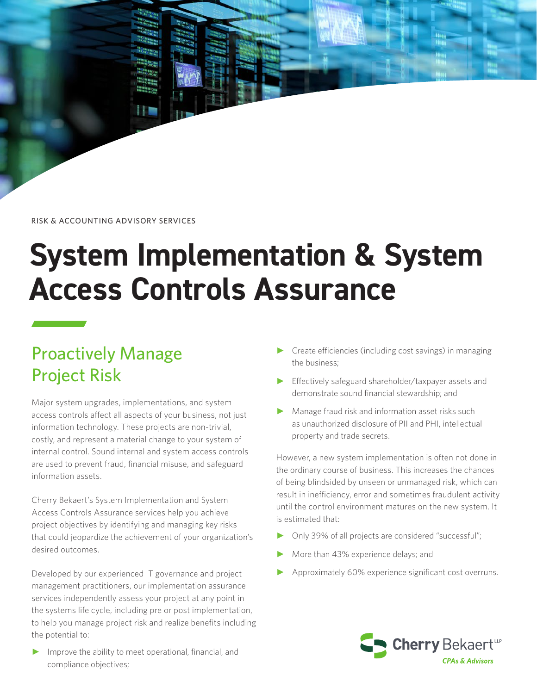RISK & ACCOUNTING ADVISORY SERVICES

# **System Implementation & System Access Controls Assurance**

# Proactively Manage Project Risk

Major system upgrades, implementations, and system access controls affect all aspects of your business, not just information technology. These projects are non-trivial, costly, and represent a material change to your system of internal control. Sound internal and system access controls are used to prevent fraud, financial misuse, and safeguard information assets.

Cherry Bekaert's System Implementation and System Access Controls Assurance services help you achieve project objectives by identifying and managing key risks that could jeopardize the achievement of your organization's desired outcomes.

Developed by our experienced IT governance and project management practitioners, our implementation assurance services independently assess your project at any point in the systems life cycle, including pre or post implementation, to help you manage project risk and realize benefits including the potential to:

► Improve the ability to meet operational, financial, and compliance objectives;

- ► Create efficiencies (including cost savings) in managing the business;
- ► Effectively safeguard shareholder/taxpayer assets and demonstrate sound financial stewardship; and
- ► Manage fraud risk and information asset risks such as unauthorized disclosure of PII and PHI, intellectual property and trade secrets.

However, a new system implementation is often not done in the ordinary course of business. This increases the chances of being blindsided by unseen or unmanaged risk, which can result in inefficiency, error and sometimes fraudulent activity until the control environment matures on the new system. It is estimated that:

- Only 39% of all projects are considered "successful";
- More than 43% experience delays; and
- Approximately 60% experience significant cost overruns.